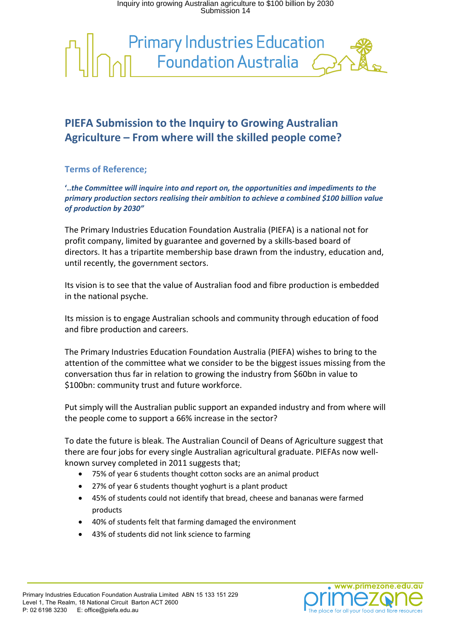Inquiry into growing Australian agriculture to \$100 billion by 2030 Submission 14



## **PIEFA Submission to the Inquiry to Growing Australian Agriculture – From where will the skilled people come?**

## **Terms of Reference;**

**'..***the Committee will inquire into and report on, the opportunities and impediments to the primary production sectors realising their ambition to achieve a combined \$100 billion value of production by 2030"*

The Primary Industries Education Foundation Australia (PIEFA) is a national not for profit company, limited by guarantee and governed by a skills-based board of directors. It has a tripartite membership base drawn from the industry, education and, until recently, the government sectors.

Its vision is to see that the value of Australian food and fibre production is embedded in the national psyche.

Its mission is to engage Australian schools and community through education of food and fibre production and careers.

The Primary Industries Education Foundation Australia (PIEFA) wishes to bring to the attention of the committee what we consider to be the biggest issues missing from the conversation thus far in relation to growing the industry from \$60bn in value to \$100bn: community trust and future workforce.

Put simply will the Australian public support an expanded industry and from where will the people come to support a 66% increase in the sector?

To date the future is bleak. The Australian Council of Deans of Agriculture suggest that there are four jobs for every single Australian agricultural graduate. PIEFAs now wellknown survey completed in 2011 suggests that;

- 75% of year 6 students thought cotton socks are an animal product
- 27% of year 6 students thought yoghurt is a plant product
- 45% of students could not identify that bread, cheese and bananas were farmed products
- 40% of students felt that farming damaged the environment
- 43% of students did not link science to farming

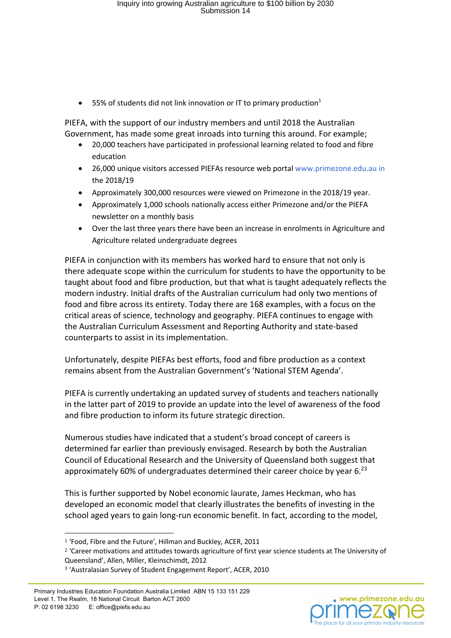• 55% of students did not link innovation or IT to primary production<sup>1</sup>

PIEFA, with the support of our industry members and until 2018 the Australian Government, has made some great inroads into turning this around. For example;

- 20,000 teachers have participated in professional learning related to food and fibre education
- 26,000 unique visitors accessed PIEFAs resource web portal www.primezone.edu.au in the 2018/19
- Approximately 300,000 resources were viewed on Primezone in the 2018/19 year.
- Approximately 1,000 schools nationally access either Primezone and/or the PIEFA newsletter on a monthly basis
- Over the last three years there have been an increase in enrolments in Agriculture and Agriculture related undergraduate degrees

PIEFA in conjunction with its members has worked hard to ensure that not only is there adequate scope within the curriculum for students to have the opportunity to be taught about food and fibre production, but that what is taught adequately reflects the modern industry. Initial drafts of the Australian curriculum had only two mentions of food and fibre across its entirety. Today there are 168 examples, with a focus on the critical areas of science, technology and geography. PIEFA continues to engage with the Australian Curriculum Assessment and Reporting Authority and state-based counterparts to assist in its implementation.

Unfortunately, despite PIEFAs best efforts, food and fibre production as a context remains absent from the Australian Government's 'National STEM Agenda'.

PIEFA is currently undertaking an updated survey of students and teachers nationally in the latter part of 2019 to provide an update into the level of awareness of the food and fibre production to inform its future strategic direction.

Numerous studies have indicated that a student's broad concept of careers is determined far earlier than previously envisaged. Research by both the Australian Council of Educational Research and the University of Queensland both suggest that approximately 60% of undergraduates determined their career choice by year  $6.^{23}$ 

This is further supported by Nobel economic laurate, James Heckman, who has developed an economic model that clearly illustrates the benefits of investing in the school aged years to gain long-run economic benefit. In fact, according to the model,



<sup>1</sup> 'Food, Fibre and the Future', Hillman and Buckley, ACER, 2011

<sup>&</sup>lt;sup>2</sup> 'Career motivations and attitudes towards agriculture of first year science students at The University of Queensland', Allen, Miller, Kleinschimdt, 2012

<sup>3</sup> 'Australasian Survey of Student Engagement Report', ACER, 2010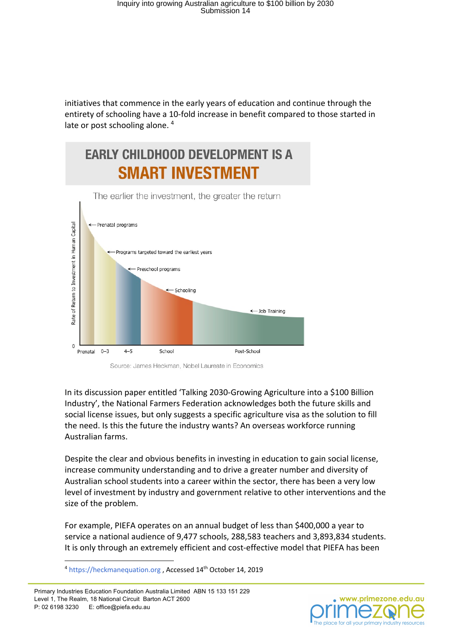initiatives that commence in the early years of education and continue through the entirety of schooling have a 10-fold increase in benefit compared to those started in late or post schooling alone.<sup>4</sup>

# **EARLY CHILDHOOD DEVELOPMENT IS A SMART INVESTMENT**



Source: James Heckman, Nobel Laureate in Economics

In its discussion paper entitled 'Talking 2030-Growing Agriculture into a \$100 Billion Industry', the National Farmers Federation acknowledges both the future skills and social license issues, but only suggests a specific agriculture visa as the solution to fill the need. Is this the future the industry wants? An overseas workforce running Australian farms.

Despite the clear and obvious benefits in investing in education to gain social license, increase community understanding and to drive a greater number and diversity of Australian school students into a career within the sector, there has been a very low level of investment by industry and government relative to other interventions and the size of the problem.

For example, PIEFA operates on an annual budget of less than \$400,000 a year to service a national audience of 9,477 schools, 288,583 teachers and 3,893,834 students. It is only through an extremely efficient and cost-effective model that PIEFA has been



<sup>&</sup>lt;sup>4</sup> https://heckmanequation.org, Accessed 14<sup>th</sup> October 14, 2019